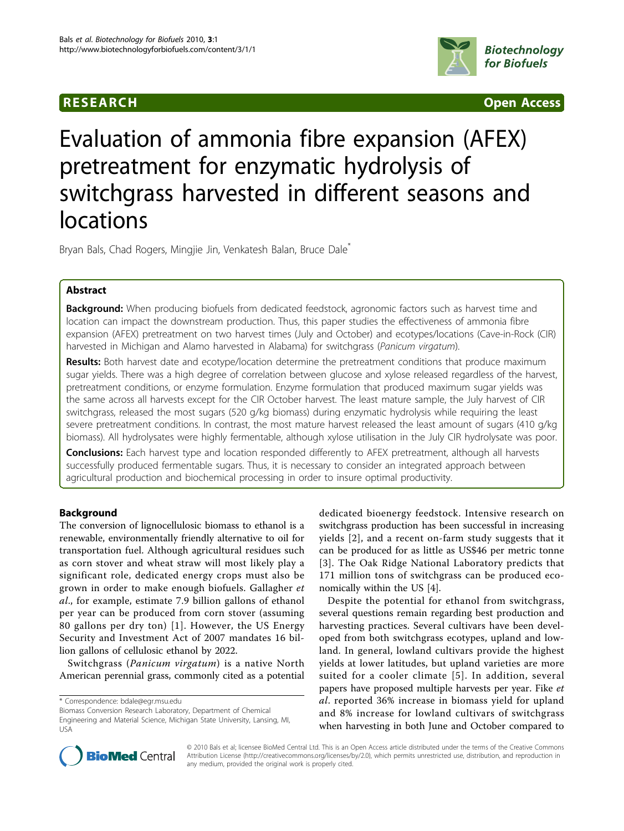

**RESEARCH CONTROL** CONTROL CONTROL CONTROL CONTROL CONTROL CONTROL CONTROL CONTROL CONTROL CONTROL CONTROL CONTROL CONTROL CONTROL CONTROL CONTROL CONTROL CONTROL CONTROL CONTROL CONTROL CONTROL CONTROL CONTROL CONTROL CON

# Evaluation of ammonia fibre expansion (AFEX) pretreatment for enzymatic hydrolysis of switchgrass harvested in different seasons and locations

Bryan Bals, Chad Rogers, Mingjie Jin, Venkatesh Balan, Bruce Dale<sup>\*</sup>

# Abstract

**Background:** When producing biofuels from dedicated feedstock, agronomic factors such as harvest time and location can impact the downstream production. Thus, this paper studies the effectiveness of ammonia fibre expansion (AFEX) pretreatment on two harvest times (July and October) and ecotypes/locations (Cave-in-Rock (CIR) harvested in Michigan and Alamo harvested in Alabama) for switchgrass (Panicum virgatum).

**Results:** Both harvest date and ecotype/location determine the pretreatment conditions that produce maximum sugar yields. There was a high degree of correlation between glucose and xylose released regardless of the harvest, pretreatment conditions, or enzyme formulation. Enzyme formulation that produced maximum sugar yields was the same across all harvests except for the CIR October harvest. The least mature sample, the July harvest of CIR switchgrass, released the most sugars (520 g/kg biomass) during enzymatic hydrolysis while requiring the least severe pretreatment conditions. In contrast, the most mature harvest released the least amount of sugars (410 g/kg biomass). All hydrolysates were highly fermentable, although xylose utilisation in the July CIR hydrolysate was poor.

Conclusions: Each harvest type and location responded differently to AFEX pretreatment, although all harvests successfully produced fermentable sugars. Thus, it is necessary to consider an integrated approach between agricultural production and biochemical processing in order to insure optimal productivity.

# Background

The conversion of lignocellulosic biomass to ethanol is a renewable, environmentally friendly alternative to oil for transportation fuel. Although agricultural residues such as corn stover and wheat straw will most likely play a significant role, dedicated energy crops must also be grown in order to make enough biofuels. Gallagher et al., for example, estimate 7.9 billion gallons of ethanol per year can be produced from corn stover (assuming 80 gallons per dry ton) [[1](#page-9-0)]. However, the US Energy Security and Investment Act of 2007 mandates 16 billion gallons of cellulosic ethanol by 2022.

Switchgrass (Panicum virgatum) is a native North American perennial grass, commonly cited as a potential dedicated bioenergy feedstock. Intensive research on switchgrass production has been successful in increasing yields [[2](#page-9-0)], and a recent on-farm study suggests that it can be produced for as little as US\$46 per metric tonne [[3](#page-9-0)]. The Oak Ridge National Laboratory predicts that 171 million tons of switchgrass can be produced economically within the US [[4\]](#page-9-0).

Despite the potential for ethanol from switchgrass, several questions remain regarding best production and harvesting practices. Several cultivars have been developed from both switchgrass ecotypes, upland and lowland. In general, lowland cultivars provide the highest yields at lower latitudes, but upland varieties are more suited for a cooler climate [[5](#page-9-0)]. In addition, several papers have proposed multiple harvests per year. Fike et al. reported 36% increase in biomass yield for upland and 8% increase for lowland cultivars of switchgrass when harvesting in both June and October compared to



© 2010 Bals et al; licensee BioMed Central Ltd. This is an Open Access article distributed under the terms of the Creative Commons Attribution License [\(http://creativecommons.org/licenses/by/2.0](http://creativecommons.org/licenses/by/2.0)), which permits unrestricted use, distribution, and reproduction in any medium, provided the original work is properly cited.

<sup>\*</sup> Correspondence: [bdale@egr.msu.edu](mailto:bdale@egr.msu.edu)

Biomass Conversion Research Laboratory, Department of Chemical Engineering and Material Science, Michigan State University, Lansing, MI, USA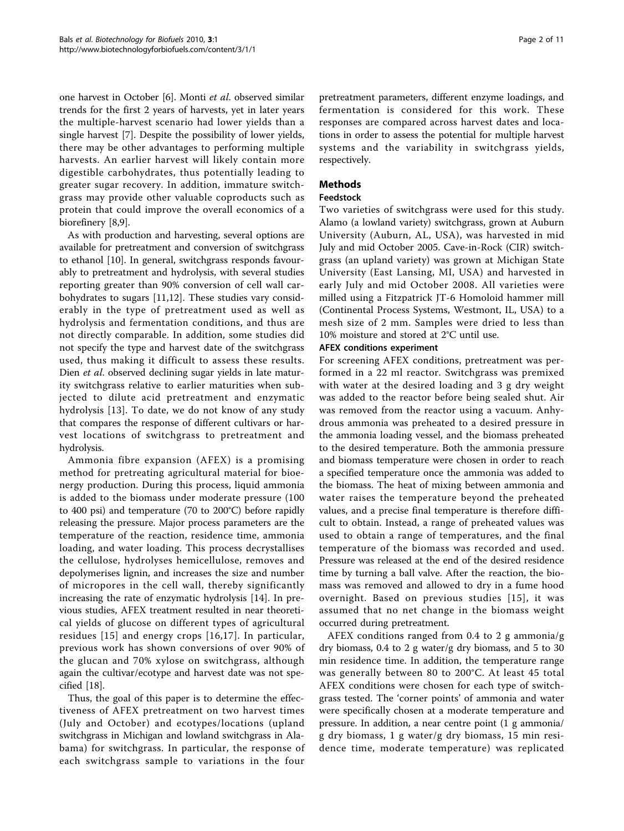one harvest in October [\[6\]](#page-9-0). Monti et al. observed similar trends for the first 2 years of harvests, yet in later years the multiple-harvest scenario had lower yields than a single harvest [[7](#page-9-0)]. Despite the possibility of lower yields, there may be other advantages to performing multiple harvests. An earlier harvest will likely contain more digestible carbohydrates, thus potentially leading to greater sugar recovery. In addition, immature switchgrass may provide other valuable coproducts such as protein that could improve the overall economics of a biorefinery [\[8,9\]](#page-9-0).

As with production and harvesting, several options are available for pretreatment and conversion of switchgrass to ethanol [\[10](#page-9-0)]. In general, switchgrass responds favourably to pretreatment and hydrolysis, with several studies reporting greater than 90% conversion of cell wall carbohydrates to sugars [\[11,12](#page-9-0)]. These studies vary considerably in the type of pretreatment used as well as hydrolysis and fermentation conditions, and thus are not directly comparable. In addition, some studies did not specify the type and harvest date of the switchgrass used, thus making it difficult to assess these results. Dien *et al.* observed declining sugar yields in late maturity switchgrass relative to earlier maturities when subjected to dilute acid pretreatment and enzymatic hydrolysis [[13](#page-9-0)]. To date, we do not know of any study that compares the response of different cultivars or harvest locations of switchgrass to pretreatment and hydrolysis.

Ammonia fibre expansion (AFEX) is a promising method for pretreating agricultural material for bioenergy production. During this process, liquid ammonia is added to the biomass under moderate pressure (100 to 400 psi) and temperature (70 to 200°C) before rapidly releasing the pressure. Major process parameters are the temperature of the reaction, residence time, ammonia loading, and water loading. This process decrystallises the cellulose, hydrolyses hemicellulose, removes and depolymerises lignin, and increases the size and number of micropores in the cell wall, thereby significantly increasing the rate of enzymatic hydrolysis [[14](#page-9-0)]. In previous studies, AFEX treatment resulted in near theoretical yields of glucose on different types of agricultural residues [\[15\]](#page-9-0) and energy crops [[16](#page-9-0),[17](#page-9-0)]. In particular, previous work has shown conversions of over 90% of the glucan and 70% xylose on switchgrass, although again the cultivar/ecotype and harvest date was not specified [[18\]](#page-9-0).

Thus, the goal of this paper is to determine the effectiveness of AFEX pretreatment on two harvest times (July and October) and ecotypes/locations (upland switchgrass in Michigan and lowland switchgrass in Alabama) for switchgrass. In particular, the response of each switchgrass sample to variations in the four

pretreatment parameters, different enzyme loadings, and fermentation is considered for this work. These responses are compared across harvest dates and locations in order to assess the potential for multiple harvest systems and the variability in switchgrass yields, respectively.

# Methods

# Feedstock

Two varieties of switchgrass were used for this study. Alamo (a lowland variety) switchgrass, grown at Auburn University (Auburn, AL, USA), was harvested in mid July and mid October 2005. Cave-in-Rock (CIR) switchgrass (an upland variety) was grown at Michigan State University (East Lansing, MI, USA) and harvested in early July and mid October 2008. All varieties were milled using a Fitzpatrick JT-6 Homoloid hammer mill (Continental Process Systems, Westmont, IL, USA) to a mesh size of 2 mm. Samples were dried to less than 10% moisture and stored at 2°C until use.

# AFEX conditions experiment

For screening AFEX conditions, pretreatment was performed in a 22 ml reactor. Switchgrass was premixed with water at the desired loading and 3 g dry weight was added to the reactor before being sealed shut. Air was removed from the reactor using a vacuum. Anhydrous ammonia was preheated to a desired pressure in the ammonia loading vessel, and the biomass preheated to the desired temperature. Both the ammonia pressure and biomass temperature were chosen in order to reach a specified temperature once the ammonia was added to the biomass. The heat of mixing between ammonia and water raises the temperature beyond the preheated values, and a precise final temperature is therefore difficult to obtain. Instead, a range of preheated values was used to obtain a range of temperatures, and the final temperature of the biomass was recorded and used. Pressure was released at the end of the desired residence time by turning a ball valve. After the reaction, the biomass was removed and allowed to dry in a fume hood overnight. Based on previous studies [[15\]](#page-9-0), it was assumed that no net change in the biomass weight occurred during pretreatment.

AFEX conditions ranged from 0.4 to 2 g ammonia/g dry biomass, 0.4 to 2 g water/g dry biomass, and 5 to 30 min residence time. In addition, the temperature range was generally between 80 to 200°C. At least 45 total AFEX conditions were chosen for each type of switchgrass tested. The 'corner points' of ammonia and water were specifically chosen at a moderate temperature and pressure. In addition, a near centre point (1 g ammonia/ g dry biomass, 1 g water/g dry biomass, 15 min residence time, moderate temperature) was replicated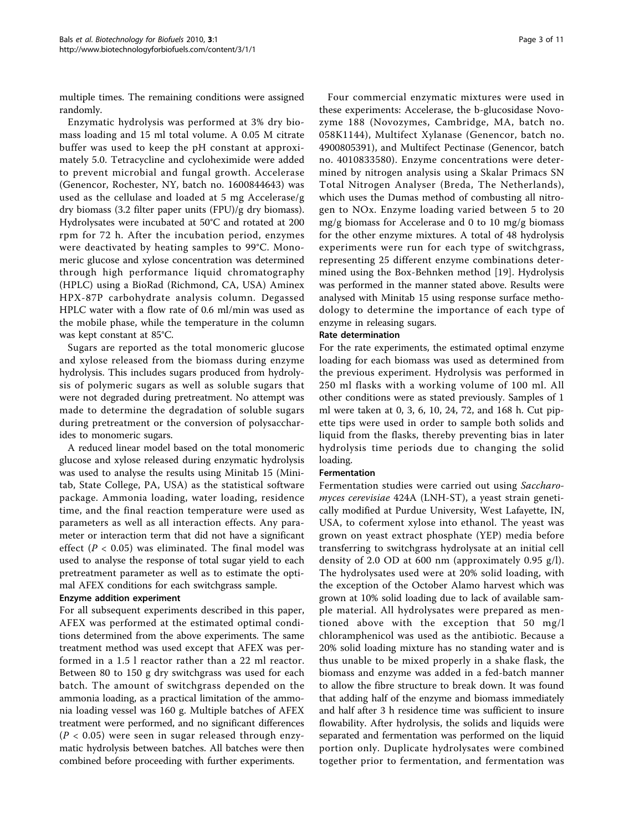multiple times. The remaining conditions were assigned randomly.

Enzymatic hydrolysis was performed at 3% dry biomass loading and 15 ml total volume. A 0.05 M citrate buffer was used to keep the pH constant at approximately 5.0. Tetracycline and cycloheximide were added to prevent microbial and fungal growth. Accelerase (Genencor, Rochester, NY, batch no. 1600844643) was used as the cellulase and loaded at 5 mg Accelerase/g dry biomass (3.2 filter paper units (FPU)/g dry biomass). Hydrolysates were incubated at 50°C and rotated at 200 rpm for 72 h. After the incubation period, enzymes were deactivated by heating samples to 99°C. Monomeric glucose and xylose concentration was determined through high performance liquid chromatography (HPLC) using a BioRad (Richmond, CA, USA) Aminex HPX-87P carbohydrate analysis column. Degassed HPLC water with a flow rate of 0.6 ml/min was used as the mobile phase, while the temperature in the column was kept constant at 85°C.

Sugars are reported as the total monomeric glucose and xylose released from the biomass during enzyme hydrolysis. This includes sugars produced from hydrolysis of polymeric sugars as well as soluble sugars that were not degraded during pretreatment. No attempt was made to determine the degradation of soluble sugars during pretreatment or the conversion of polysaccharides to monomeric sugars.

A reduced linear model based on the total monomeric glucose and xylose released during enzymatic hydrolysis was used to analyse the results using Minitab 15 (Minitab, State College, PA, USA) as the statistical software package. Ammonia loading, water loading, residence time, and the final reaction temperature were used as parameters as well as all interaction effects. Any parameter or interaction term that did not have a significant effect ( $P < 0.05$ ) was eliminated. The final model was used to analyse the response of total sugar yield to each pretreatment parameter as well as to estimate the optimal AFEX conditions for each switchgrass sample.

#### Enzyme addition experiment

For all subsequent experiments described in this paper, AFEX was performed at the estimated optimal conditions determined from the above experiments. The same treatment method was used except that AFEX was performed in a 1.5 l reactor rather than a 22 ml reactor. Between 80 to 150 g dry switchgrass was used for each batch. The amount of switchgrass depended on the ammonia loading, as a practical limitation of the ammonia loading vessel was 160 g. Multiple batches of AFEX treatment were performed, and no significant differences  $(P < 0.05)$  were seen in sugar released through enzymatic hydrolysis between batches. All batches were then combined before proceeding with further experiments.

Four commercial enzymatic mixtures were used in these experiments: Accelerase, the b-glucosidase Novozyme 188 (Novozymes, Cambridge, MA, batch no. 058K1144), Multifect Xylanase (Genencor, batch no. 4900805391), and Multifect Pectinase (Genencor, batch no. 4010833580). Enzyme concentrations were determined by nitrogen analysis using a Skalar Primacs SN Total Nitrogen Analyser (Breda, The Netherlands), which uses the Dumas method of combusting all nitrogen to NOx. Enzyme loading varied between 5 to 20 mg/g biomass for Accelerase and 0 to 10 mg/g biomass for the other enzyme mixtures. A total of 48 hydrolysis experiments were run for each type of switchgrass, representing 25 different enzyme combinations determined using the Box-Behnken method [\[19](#page-9-0)]. Hydrolysis was performed in the manner stated above. Results were analysed with Minitab 15 using response surface methodology to determine the importance of each type of enzyme in releasing sugars.

#### Rate determination

For the rate experiments, the estimated optimal enzyme loading for each biomass was used as determined from the previous experiment. Hydrolysis was performed in 250 ml flasks with a working volume of 100 ml. All other conditions were as stated previously. Samples of 1 ml were taken at 0, 3, 6, 10, 24, 72, and 168 h. Cut pipette tips were used in order to sample both solids and liquid from the flasks, thereby preventing bias in later hydrolysis time periods due to changing the solid loading.

# Fermentation

Fermentation studies were carried out using Saccharomyces cerevisiae 424A (LNH-ST), a yeast strain genetically modified at Purdue University, West Lafayette, IN, USA, to coferment xylose into ethanol. The yeast was grown on yeast extract phosphate (YEP) media before transferring to switchgrass hydrolysate at an initial cell density of 2.0 OD at 600 nm (approximately 0.95 g/l). The hydrolysates used were at 20% solid loading, with the exception of the October Alamo harvest which was grown at 10% solid loading due to lack of available sample material. All hydrolysates were prepared as mentioned above with the exception that 50 mg/l chloramphenicol was used as the antibiotic. Because a 20% solid loading mixture has no standing water and is thus unable to be mixed properly in a shake flask, the biomass and enzyme was added in a fed-batch manner to allow the fibre structure to break down. It was found that adding half of the enzyme and biomass immediately and half after 3 h residence time was sufficient to insure flowability. After hydrolysis, the solids and liquids were separated and fermentation was performed on the liquid portion only. Duplicate hydrolysates were combined together prior to fermentation, and fermentation was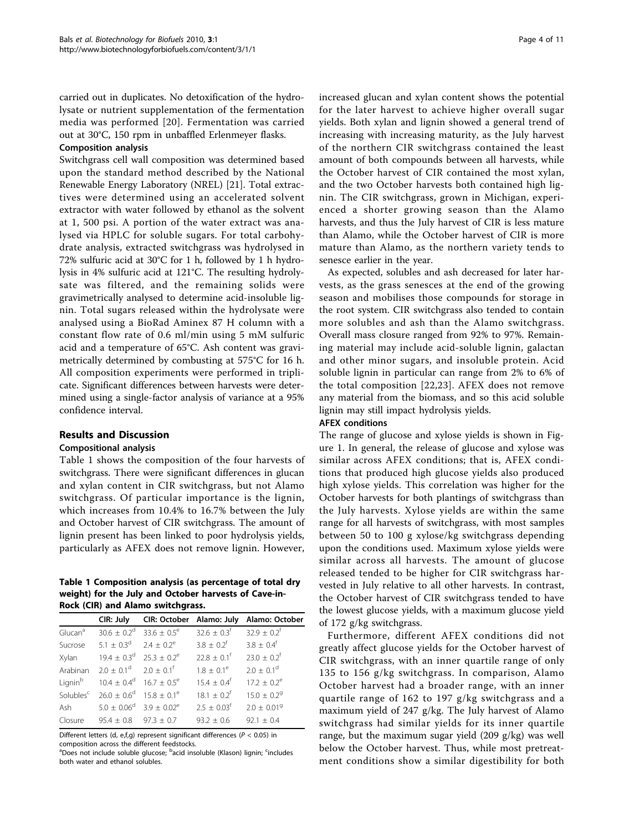carried out in duplicates. No detoxification of the hydrolysate or nutrient supplementation of the fermentation media was performed [[20](#page-9-0)]. Fermentation was carried out at 30°C, 150 rpm in unbaffled Erlenmeyer flasks.

#### Composition analysis

Switchgrass cell wall composition was determined based upon the standard method described by the National Renewable Energy Laboratory (NREL) [\[21\]](#page-9-0). Total extractives were determined using an accelerated solvent extractor with water followed by ethanol as the solvent at 1, 500 psi. A portion of the water extract was analysed via HPLC for soluble sugars. For total carbohydrate analysis, extracted switchgrass was hydrolysed in 72% sulfuric acid at 30°C for 1 h, followed by 1 h hydrolysis in 4% sulfuric acid at 121°C. The resulting hydrolysate was filtered, and the remaining solids were gravimetrically analysed to determine acid-insoluble lignin. Total sugars released within the hydrolysate were analysed using a BioRad Aminex 87 H column with a constant flow rate of 0.6 ml/min using 5 mM sulfuric acid and a temperature of 65°C. Ash content was gravimetrically determined by combusting at 575°C for 16 h. All composition experiments were performed in triplicate. Significant differences between harvests were determined using a single-factor analysis of variance at a 95% confidence interval.

# Results and Discussion

# Compositional analysis

Table 1 shows the composition of the four harvests of switchgrass. There were significant differences in glucan and xylan content in CIR switchgrass, but not Alamo switchgrass. Of particular importance is the lignin, which increases from 10.4% to 16.7% between the July and October harvest of CIR switchgrass. The amount of lignin present has been linked to poor hydrolysis yields, particularly as AFEX does not remove lignin. However,

#### Table 1 Composition analysis (as percentage of total dry weight) for the July and October harvests of Cave-in-Rock (CIR) and Alamo switchgrass.

|                     | CIR: July                                                    | CIR: October Alamo: July                      |                           | Alamo: October              |
|---------------------|--------------------------------------------------------------|-----------------------------------------------|---------------------------|-----------------------------|
| Glucan <sup>a</sup> |                                                              | $30.6 \pm 0.2^{\circ}$ 33.6 $\pm 0.5^{\circ}$ | $32.6 + 0.3$ <sup>f</sup> | $32.9 \pm 0.2^f$            |
| Sucrose             | $5.1 + 0.3^d$ 2.4 + 0.2 <sup>e</sup>                         |                                               | $3.8 + 0.2^{f}$           | $3.8 + 0.4^{\dagger}$       |
| Xylan               | $19.4 \pm 0.3^{\circ}$ 25.3 $\pm 0.2^{\circ}$                |                                               | $22.8 + 0.1$ <sup>f</sup> | $23.0 + 0.2^{f}$            |
|                     | Arabinan $2.0 \pm 0.1^d$ $2.0 \pm 0.1^f$                     |                                               | $1.8 + 0.1^e$             | $2.0 + 0.1^d$               |
| Lianin <sup>b</sup> | $10.4 \pm 0.4^{\circ}$ 16.7 $\pm 0.5^{\circ}$                |                                               | $15.4 + 0.4^f$            | $17.2 + 0.2^e$              |
|                     | Solubles <sup>c</sup> $26.0 + 0.6^d$ 15.8 + 0.1 <sup>e</sup> |                                               | $18.1 + 0.2^f$            | $15.0 + 0.29$               |
|                     | Ash $5.0 \pm 0.06^{\circ}$ 3.9 $\pm 0.02^{\circ}$            |                                               | $2.5 + 0.03$ <sup>f</sup> | $2.0 \pm 0.01$ <sup>9</sup> |
| Closure             | $95.4 \pm 0.8$                                               | $97.3 + 0.7$                                  | $93.2 + 0.6$              | $92.1 + 0.4$                |
|                     |                                                              |                                               |                           |                             |

Different letters (d, e,f,g) represent significant differences (P < 0.05) in composition across the different feedstocks.

<sup>a</sup>Does not include soluble glucose; <sup>b</sup>acid insoluble (Klason) lignin; <sup>c</sup>includes both water and ethanol solubles.

increased glucan and xylan content shows the potential for the later harvest to achieve higher overall sugar yields. Both xylan and lignin showed a general trend of increasing with increasing maturity, as the July harvest of the northern CIR switchgrass contained the least amount of both compounds between all harvests, while the October harvest of CIR contained the most xylan, and the two October harvests both contained high lignin. The CIR switchgrass, grown in Michigan, experienced a shorter growing season than the Alamo harvests, and thus the July harvest of CIR is less mature than Alamo, while the October harvest of CIR is more mature than Alamo, as the northern variety tends to senesce earlier in the year.

As expected, solubles and ash decreased for later harvests, as the grass senesces at the end of the growing season and mobilises those compounds for storage in the root system. CIR switchgrass also tended to contain more solubles and ash than the Alamo switchgrass. Overall mass closure ranged from 92% to 97%. Remaining material may include acid-soluble lignin, galactan and other minor sugars, and insoluble protein. Acid soluble lignin in particular can range from 2% to 6% of the total composition [[22](#page-9-0),[23](#page-10-0)]. AFEX does not remove any material from the biomass, and so this acid soluble lignin may still impact hydrolysis yields.

# AFEX conditions

The range of glucose and xylose yields is shown in Figure [1.](#page-4-0) In general, the release of glucose and xylose was similar across AFEX conditions; that is, AFEX conditions that produced high glucose yields also produced high xylose yields. This correlation was higher for the October harvests for both plantings of switchgrass than the July harvests. Xylose yields are within the same range for all harvests of switchgrass, with most samples between 50 to 100 g xylose/kg switchgrass depending upon the conditions used. Maximum xylose yields were similar across all harvests. The amount of glucose released tended to be higher for CIR switchgrass harvested in July relative to all other harvests. In contrast, the October harvest of CIR switchgrass tended to have the lowest glucose yields, with a maximum glucose yield of 172 g/kg switchgrass.

Furthermore, different AFEX conditions did not greatly affect glucose yields for the October harvest of CIR switchgrass, with an inner quartile range of only 135 to 156 g/kg switchgrass. In comparison, Alamo October harvest had a broader range, with an inner quartile range of 162 to 197 g/kg switchgrass and a maximum yield of 247 g/kg. The July harvest of Alamo switchgrass had similar yields for its inner quartile range, but the maximum sugar yield (209 g/kg) was well below the October harvest. Thus, while most pretreatment conditions show a similar digestibility for both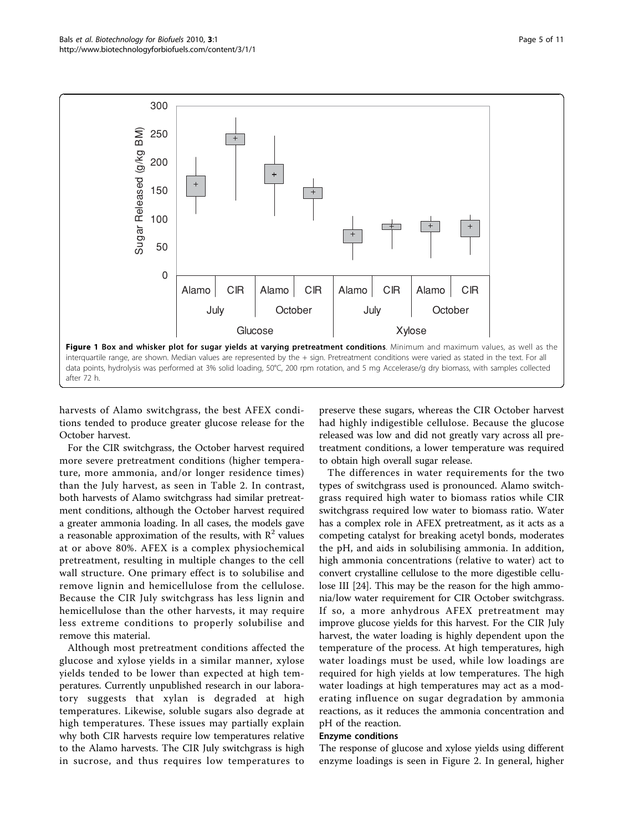<span id="page-4-0"></span>

harvests of Alamo switchgrass, the best AFEX conditions tended to produce greater glucose release for the October harvest.

For the CIR switchgrass, the October harvest required more severe pretreatment conditions (higher temperature, more ammonia, and/or longer residence times) than the July harvest, as seen in Table [2](#page-5-0). In contrast, both harvests of Alamo switchgrass had similar pretreatment conditions, although the October harvest required a greater ammonia loading. In all cases, the models gave a reasonable approximation of the results, with  $R^2$  values at or above 80%. AFEX is a complex physiochemical pretreatment, resulting in multiple changes to the cell wall structure. One primary effect is to solubilise and remove lignin and hemicellulose from the cellulose. Because the CIR July switchgrass has less lignin and hemicellulose than the other harvests, it may require less extreme conditions to properly solubilise and remove this material.

Although most pretreatment conditions affected the glucose and xylose yields in a similar manner, xylose yields tended to be lower than expected at high temperatures. Currently unpublished research in our laboratory suggests that xylan is degraded at high temperatures. Likewise, soluble sugars also degrade at high temperatures. These issues may partially explain why both CIR harvests require low temperatures relative to the Alamo harvests. The CIR July switchgrass is high in sucrose, and thus requires low temperatures to

preserve these sugars, whereas the CIR October harvest had highly indigestible cellulose. Because the glucose released was low and did not greatly vary across all pretreatment conditions, a lower temperature was required to obtain high overall sugar release.

The differences in water requirements for the two types of switchgrass used is pronounced. Alamo switchgrass required high water to biomass ratios while CIR switchgrass required low water to biomass ratio. Water has a complex role in AFEX pretreatment, as it acts as a competing catalyst for breaking acetyl bonds, moderates the pH, and aids in solubilising ammonia. In addition, high ammonia concentrations (relative to water) act to convert crystalline cellulose to the more digestible cellulose III [[24](#page-10-0)]. This may be the reason for the high ammonia/low water requirement for CIR October switchgrass. If so, a more anhydrous AFEX pretreatment may improve glucose yields for this harvest. For the CIR July harvest, the water loading is highly dependent upon the temperature of the process. At high temperatures, high water loadings must be used, while low loadings are required for high yields at low temperatures. The high water loadings at high temperatures may act as a moderating influence on sugar degradation by ammonia reactions, as it reduces the ammonia concentration and pH of the reaction.

#### Enzyme conditions

The response of glucose and xylose yields using different enzyme loadings is seen in Figure [2](#page-6-0). In general, higher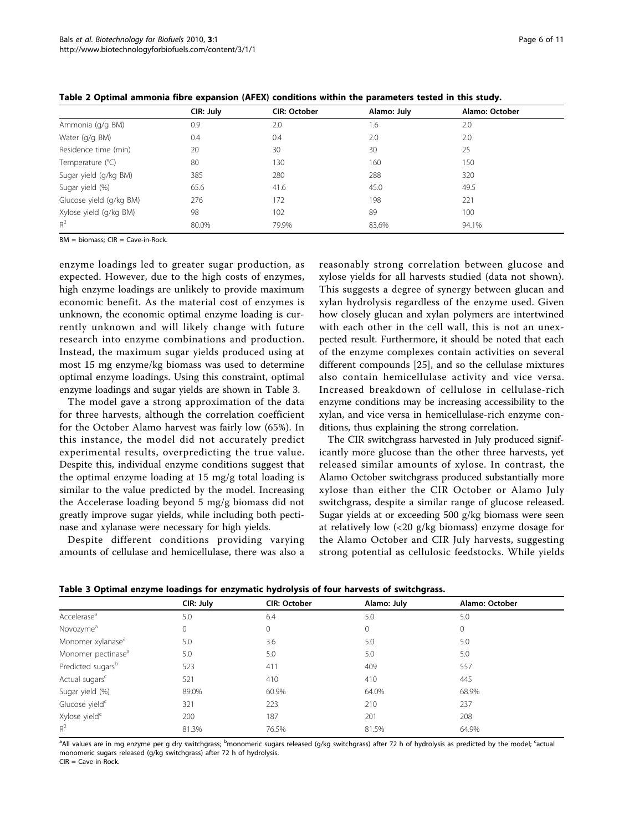|                         | CIR: July | CIR: October | Alamo: July | Alamo: October |  |
|-------------------------|-----------|--------------|-------------|----------------|--|
| Ammonia (g/g BM)        | 0.9       | 2.0          | 1.6         | 2.0            |  |
| Water (g/g BM)          | 0.4       | 0.4          | 2.0         | 2.0            |  |
| Residence time (min)    | 20        | 30           | 30          | 25             |  |
| Temperature (°C)        | 80        | 130          | 160         | 150            |  |
| Sugar yield (g/kg BM)   | 385       | 280          | 288         | 320            |  |
| Sugar yield (%)         | 65.6      | 41.6         | 45.0        | 49.5           |  |
| Glucose yield (g/kg BM) | 276       | 172          | 198         | 221            |  |
| Xylose yield (g/kg BM)  | 98        | 102          | 89          | 100            |  |
| $R^2$                   | 80.0%     | 79.9%        | 83.6%       | 94.1%          |  |

<span id="page-5-0"></span>Table 2 Optimal ammonia fibre expansion (AFEX) conditions within the parameters tested in this study.

BM = biomass; CIR = Cave-in-Rock.

enzyme loadings led to greater sugar production, as expected. However, due to the high costs of enzymes, high enzyme loadings are unlikely to provide maximum economic benefit. As the material cost of enzymes is unknown, the economic optimal enzyme loading is currently unknown and will likely change with future research into enzyme combinations and production. Instead, the maximum sugar yields produced using at most 15 mg enzyme/kg biomass was used to determine optimal enzyme loadings. Using this constraint, optimal enzyme loadings and sugar yields are shown in Table 3.

The model gave a strong approximation of the data for three harvests, although the correlation coefficient for the October Alamo harvest was fairly low (65%). In this instance, the model did not accurately predict experimental results, overpredicting the true value. Despite this, individual enzyme conditions suggest that the optimal enzyme loading at 15 mg/g total loading is similar to the value predicted by the model. Increasing the Accelerase loading beyond 5 mg/g biomass did not greatly improve sugar yields, while including both pectinase and xylanase were necessary for high yields.

Despite different conditions providing varying amounts of cellulase and hemicellulase, there was also a

reasonably strong correlation between glucose and xylose yields for all harvests studied (data not shown). This suggests a degree of synergy between glucan and xylan hydrolysis regardless of the enzyme used. Given how closely glucan and xylan polymers are intertwined with each other in the cell wall, this is not an unexpected result. Furthermore, it should be noted that each of the enzyme complexes contain activities on several different compounds [[25\]](#page-10-0), and so the cellulase mixtures also contain hemicellulase activity and vice versa. Increased breakdown of cellulose in cellulase-rich enzyme conditions may be increasing accessibility to the xylan, and vice versa in hemicellulase-rich enzyme conditions, thus explaining the strong correlation.

The CIR switchgrass harvested in July produced significantly more glucose than the other three harvests, yet released similar amounts of xylose. In contrast, the Alamo October switchgrass produced substantially more xylose than either the CIR October or Alamo July switchgrass, despite a similar range of glucose released. Sugar yields at or exceeding 500 g/kg biomass were seen at relatively low (<20 g/kg biomass) enzyme dosage for the Alamo October and CIR July harvests, suggesting strong potential as cellulosic feedstocks. While yields

| <u>rasic s opennar enspire rouwings for enspirate hywrorysis or fowr harvests or shiftengrassi</u> |           |              |             |                |  |  |
|----------------------------------------------------------------------------------------------------|-----------|--------------|-------------|----------------|--|--|
|                                                                                                    | CIR: July | CIR: October | Alamo: July | Alamo: October |  |  |
| Accelerase <sup>a</sup>                                                                            | 5.0       | 6.4          | 5.0         | 5.0            |  |  |
| Novozyme <sup>a</sup>                                                                              | 0         | 0            | 0           | $\mathbf{0}$   |  |  |
| Monomer xylanase <sup>a</sup>                                                                      | 5.0       | 3.6          | 5.0         | 5.0            |  |  |
| Monomer pectinase <sup>a</sup>                                                                     | 5.0       | 5.0          | 5.0         | 5.0            |  |  |
| Predicted sugars <sup>b</sup>                                                                      | 523       | 411          | 409         | 557            |  |  |
| Actual sugars <sup>c</sup>                                                                         | 521       | 410          | 410         | 445            |  |  |
| Sugar yield (%)                                                                                    | 89.0%     | 60.9%        | 64.0%       | 68.9%          |  |  |
| Glucose yield <sup>c</sup>                                                                         | 321       | 223          | 210         | 237            |  |  |
| Xylose yield <sup>c</sup>                                                                          | 200       | 187          | 201         | 208            |  |  |
| $R^2$                                                                                              | 81.3%     | 76.5%        | 81.5%       | 64.9%          |  |  |

Table 3 Optimal enzyme loadings for enzymatic hydrolysis of four harvests of switchgrass.

<sup>a</sup>All values are in mg enzyme per g dry switchgrass; <sup>b</sup>monomeric sugars released (g/kg switchgrass) after 72 h of hydrolysis as predicted by the model; <sup>c</sup>actual monomeric sugars released (g/kg switchgrass) after 72 h of hydrolysis. CIR = Cave-in-Rock.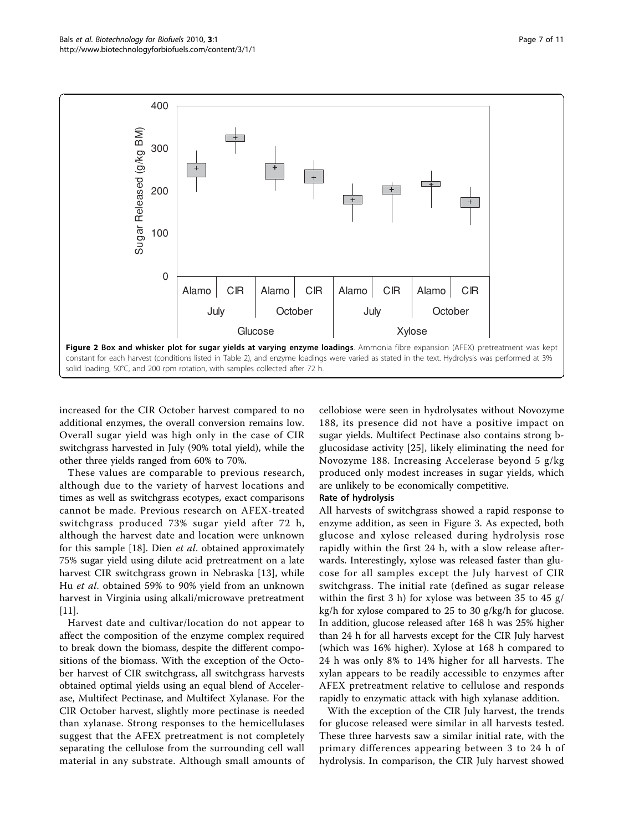<span id="page-6-0"></span>

increased for the CIR October harvest compared to no additional enzymes, the overall conversion remains low. Overall sugar yield was high only in the case of CIR switchgrass harvested in July (90% total yield), while the other three yields ranged from 60% to 70%.

These values are comparable to previous research, although due to the variety of harvest locations and times as well as switchgrass ecotypes, exact comparisons cannot be made. Previous research on AFEX-treated switchgrass produced 73% sugar yield after 72 h, although the harvest date and location were unknown for this sample [[18\]](#page-9-0). Dien et al. obtained approximately 75% sugar yield using dilute acid pretreatment on a late harvest CIR switchgrass grown in Nebraska [\[13](#page-9-0)], while Hu et al. obtained 59% to 90% yield from an unknown harvest in Virginia using alkali/microwave pretreatment [[11\]](#page-9-0).

Harvest date and cultivar/location do not appear to affect the composition of the enzyme complex required to break down the biomass, despite the different compositions of the biomass. With the exception of the October harvest of CIR switchgrass, all switchgrass harvests obtained optimal yields using an equal blend of Accelerase, Multifect Pectinase, and Multifect Xylanase. For the CIR October harvest, slightly more pectinase is needed than xylanase. Strong responses to the hemicellulases suggest that the AFEX pretreatment is not completely separating the cellulose from the surrounding cell wall material in any substrate. Although small amounts of cellobiose were seen in hydrolysates without Novozyme 188, its presence did not have a positive impact on sugar yields. Multifect Pectinase also contains strong bglucosidase activity [[25](#page-10-0)], likely eliminating the need for Novozyme 188. Increasing Accelerase beyond 5 g/kg produced only modest increases in sugar yields, which are unlikely to be economically competitive.

#### Rate of hydrolysis

All harvests of switchgrass showed a rapid response to enzyme addition, as seen in Figure [3.](#page-7-0) As expected, both glucose and xylose released during hydrolysis rose rapidly within the first 24 h, with a slow release afterwards. Interestingly, xylose was released faster than glucose for all samples except the July harvest of CIR switchgrass. The initial rate (defined as sugar release within the first 3 h) for xylose was between 35 to 45 g/ kg/h for xylose compared to 25 to 30 g/kg/h for glucose. In addition, glucose released after 168 h was 25% higher than 24 h for all harvests except for the CIR July harvest (which was 16% higher). Xylose at 168 h compared to 24 h was only 8% to 14% higher for all harvests. The xylan appears to be readily accessible to enzymes after AFEX pretreatment relative to cellulose and responds rapidly to enzymatic attack with high xylanase addition.

With the exception of the CIR July harvest, the trends for glucose released were similar in all harvests tested. These three harvests saw a similar initial rate, with the primary differences appearing between 3 to 24 h of hydrolysis. In comparison, the CIR July harvest showed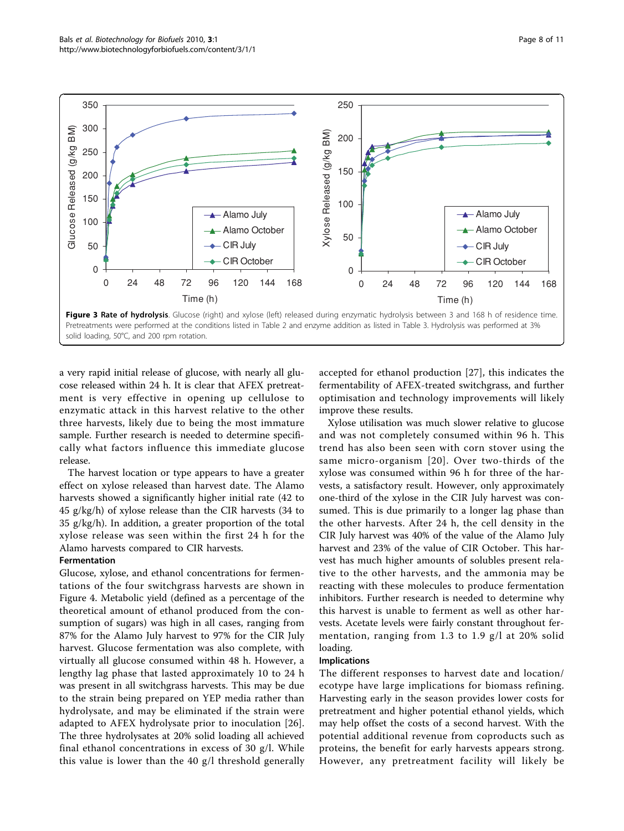<span id="page-7-0"></span>

Pretreatments were performed at the conditions listed in Table 2 and enzyme addition as listed in Table 3. Hydrolysis was performed at 3% solid loading, 50°C, and 200 rpm rotation.

a very rapid initial release of glucose, with nearly all glucose released within 24 h. It is clear that AFEX pretreatment is very effective in opening up cellulose to enzymatic attack in this harvest relative to the other three harvests, likely due to being the most immature sample. Further research is needed to determine specifically what factors influence this immediate glucose release.

The harvest location or type appears to have a greater effect on xylose released than harvest date. The Alamo harvests showed a significantly higher initial rate (42 to 45 g/kg/h) of xylose release than the CIR harvests (34 to 35 g/kg/h). In addition, a greater proportion of the total xylose release was seen within the first 24 h for the Alamo harvests compared to CIR harvests.

#### Fermentation

Glucose, xylose, and ethanol concentrations for fermentations of the four switchgrass harvests are shown in Figure [4.](#page-8-0) Metabolic yield (defined as a percentage of the theoretical amount of ethanol produced from the consumption of sugars) was high in all cases, ranging from 87% for the Alamo July harvest to 97% for the CIR July harvest. Glucose fermentation was also complete, with virtually all glucose consumed within 48 h. However, a lengthy lag phase that lasted approximately 10 to 24 h was present in all switchgrass harvests. This may be due to the strain being prepared on YEP media rather than hydrolysate, and may be eliminated if the strain were adapted to AFEX hydrolysate prior to inoculation [[26](#page-10-0)]. The three hydrolysates at 20% solid loading all achieved final ethanol concentrations in excess of 30 g/l. While this value is lower than the 40 g/l threshold generally

accepted for ethanol production [[27\]](#page-10-0), this indicates the fermentability of AFEX-treated switchgrass, and further optimisation and technology improvements will likely improve these results.

Xylose utilisation was much slower relative to glucose and was not completely consumed within 96 h. This trend has also been seen with corn stover using the same micro-organism [[20](#page-9-0)]. Over two-thirds of the xylose was consumed within 96 h for three of the harvests, a satisfactory result. However, only approximately one-third of the xylose in the CIR July harvest was consumed. This is due primarily to a longer lag phase than the other harvests. After 24 h, the cell density in the CIR July harvest was 40% of the value of the Alamo July harvest and 23% of the value of CIR October. This harvest has much higher amounts of solubles present relative to the other harvests, and the ammonia may be reacting with these molecules to produce fermentation inhibitors. Further research is needed to determine why this harvest is unable to ferment as well as other harvests. Acetate levels were fairly constant throughout fermentation, ranging from 1.3 to 1.9 g/l at 20% solid loading.

#### Implications

The different responses to harvest date and location/ ecotype have large implications for biomass refining. Harvesting early in the season provides lower costs for pretreatment and higher potential ethanol yields, which may help offset the costs of a second harvest. With the potential additional revenue from coproducts such as proteins, the benefit for early harvests appears strong. However, any pretreatment facility will likely be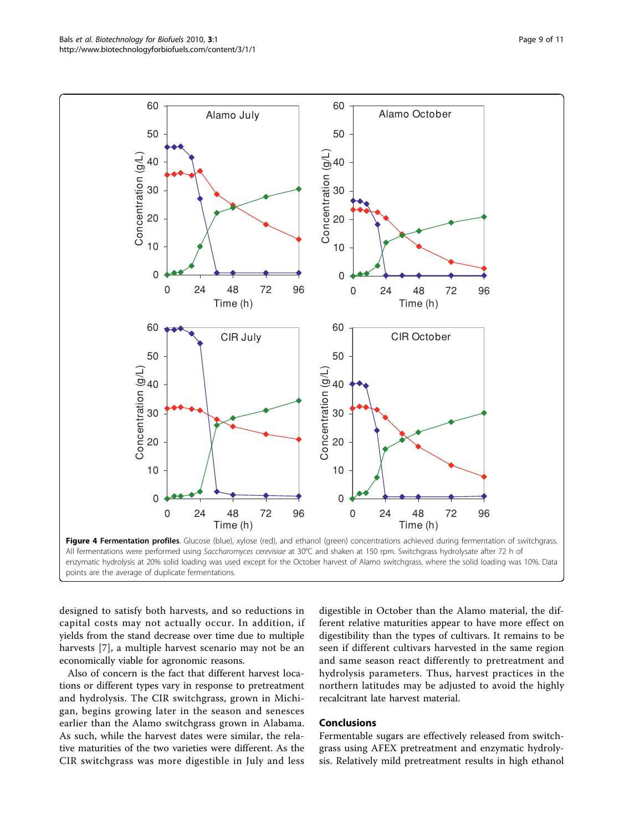<span id="page-8-0"></span>

All fermentations were performed using Saccharomyces cerevisiae at 30°C and shaken at 150 rpm. Switchgrass hydrolysate after 72 h of enzymatic hydrolysis at 20% solid loading was used except for the October harvest of Alamo switchgrass, where the solid loading was 10%. Data points are the average of duplicate fermentations.

designed to satisfy both harvests, and so reductions in capital costs may not actually occur. In addition, if yields from the stand decrease over time due to multiple harvests [\[7](#page-9-0)], a multiple harvest scenario may not be an economically viable for agronomic reasons.

Also of concern is the fact that different harvest locations or different types vary in response to pretreatment and hydrolysis. The CIR switchgrass, grown in Michigan, begins growing later in the season and senesces earlier than the Alamo switchgrass grown in Alabama. As such, while the harvest dates were similar, the relative maturities of the two varieties were different. As the CIR switchgrass was more digestible in July and less

digestible in October than the Alamo material, the different relative maturities appear to have more effect on digestibility than the types of cultivars. It remains to be seen if different cultivars harvested in the same region and same season react differently to pretreatment and hydrolysis parameters. Thus, harvest practices in the northern latitudes may be adjusted to avoid the highly recalcitrant late harvest material.

#### Conclusions

Fermentable sugars are effectively released from switchgrass using AFEX pretreatment and enzymatic hydrolysis. Relatively mild pretreatment results in high ethanol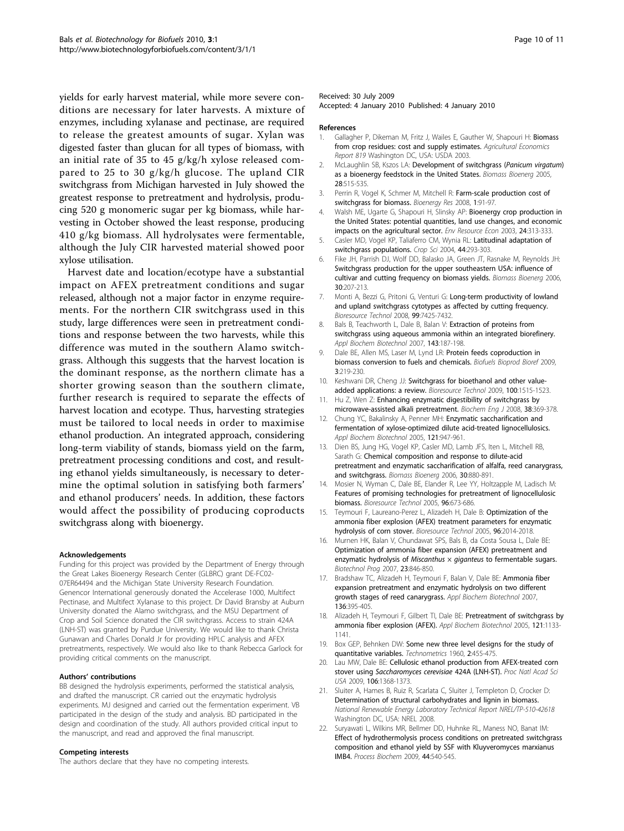<span id="page-9-0"></span>yields for early harvest material, while more severe conditions are necessary for later harvests. A mixture of enzymes, including xylanase and pectinase, are required to release the greatest amounts of sugar. Xylan was digested faster than glucan for all types of biomass, with an initial rate of 35 to 45 g/kg/h xylose released compared to 25 to 30 g/kg/h glucose. The upland CIR switchgrass from Michigan harvested in July showed the greatest response to pretreatment and hydrolysis, producing 520 g monomeric sugar per kg biomass, while harvesting in October showed the least response, producing 410 g/kg biomass. All hydrolysates were fermentable, although the July CIR harvested material showed poor xylose utilisation.

Harvest date and location/ecotype have a substantial impact on AFEX pretreatment conditions and sugar released, although not a major factor in enzyme requirements. For the northern CIR switchgrass used in this study, large differences were seen in pretreatment conditions and response between the two harvests, while this difference was muted in the southern Alamo switchgrass. Although this suggests that the harvest location is the dominant response, as the northern climate has a shorter growing season than the southern climate, further research is required to separate the effects of harvest location and ecotype. Thus, harvesting strategies must be tailored to local needs in order to maximise ethanol production. An integrated approach, considering long-term viability of stands, biomass yield on the farm, pretreatment processing conditions and cost, and resulting ethanol yields simultaneously, is necessary to determine the optimal solution in satisfying both farmers' and ethanol producers' needs. In addition, these factors would affect the possibility of producing coproducts switchgrass along with bioenergy.

#### Acknowledgements

Funding for this project was provided by the Department of Energy through the Great Lakes Bioenergy Research Center (GLBRC) grant DE-FC02- 07ER64494 and the Michigan State University Research Foundation. Genencor International generously donated the Accelerase 1000, Multifect Pectinase, and Multifect Xylanase to this project. Dr David Bransby at Auburn University donated the Alamo switchgrass, and the MSU Department of Crop and Soil Science donated the CIR switchgrass. Access to strain 424A (LNH-ST) was granted by Purdue University. We would like to thank Christa Gunawan and Charles Donald Jr for providing HPLC analysis and AFEX pretreatments, respectively. We would also like to thank Rebecca Garlock for providing critical comments on the manuscript.

#### Authors' contributions

BB designed the hydrolysis experiments, performed the statistical analysis, and drafted the manuscript. CR carried out the enzymatic hydrolysis experiments. MJ designed and carried out the fermentation experiment. VB participated in the design of the study and analysis. BD participated in the design and coordination of the study. All authors provided critical input to the manuscript, and read and approved the final manuscript.

#### Competing interests

The authors declare that they have no competing interests.

#### Received: 30 July 2009

Accepted: 4 January 2010 Published: 4 January 2010

#### References

- Gallagher P, Dikeman M, Fritz J, Wailes E, Gauther W, Shapouri H: Biomass from crop residues: cost and supply estimates. Agricultural Economics Report 819 Washington DC, USA: USDA 2003.
- 2. McLaughlin SB, Kszos LA: Development of switchgrass (Panicum virgatum) as a bioenergy feedstock in the United States. Biomass Bioenerg 2005, 28:515-535.
- 3. Perrin R, Vogel K, Schmer M, Mitchell R: Farm-scale production cost of switchgrass for biomass. Bioenergy Res 2008, 1:91-97.
- 4. Walsh ME, Ugarte G, Shapouri H, Slinsky AP: Bioenergy crop production in the United States: potential quantities, land use changes, and economic impacts on the agricultural sector. Env Resource Econ 2003, 24:313-333.
- 5. Casler MD, Vogel KP, Taliaferro CM, Wynia RL: Latitudinal adaptation of switchgrass populations. Crop Sci 2004, 44:293-303.
- Fike JH, Parrish DJ, Wolf DD, Balasko JA, Green JT, Rasnake M, Reynolds JH: Switchgrass production for the upper southeastern USA: influence of cultivar and cutting frequency on biomass yields. Biomass Bioenerg 2006, 30:207-213.
- 7. Monti A, Bezzi G, Pritoni G, Venturi G: Long-term productivity of lowland and upland switchgrass cytotypes as affected by cutting frequency. Bioresource Technol 2008, 99:7425-7432.
- 8. Bals B, Teachworth L, Dale B, Balan V: [Extraction of proteins from](http://www.ncbi.nlm.nih.gov/pubmed/18025607?dopt=Abstract) [switchgrass using aqueous ammonia within an integrated biorefinery.](http://www.ncbi.nlm.nih.gov/pubmed/18025607?dopt=Abstract) Appl Biochem Biotechnol 2007, 143:187-198.
- 9. Dale BE, Allen MS, Laser M, Lynd LR: Protein feeds coproduction in biomass conversion to fuels and chemicals. Biofuels Bioprod Bioref 2009, 3:219-230.
- 10. Keshwani DR, Cheng JJ: Switchgrass for bioethanol and other valueadded applications: a review. Bioresource Technol 2009, 100:1515-1523.
- 11. Hu Z, Wen Z: Enhancing enzymatic digestibility of switchgrass by microwave-assisted alkali pretreatment. Biochem Eng J 2008, 38:369-378.
- 12. Chung YC, Bakalinsky A, Penner MH: [Enzymatic saccharification and](http://www.ncbi.nlm.nih.gov/pubmed/15930573?dopt=Abstract) [fermentation of xylose-optimized dilute acid-treated lignocellulosics.](http://www.ncbi.nlm.nih.gov/pubmed/15930573?dopt=Abstract) Appl Biochem Biotechnol 2005, 121:947-961.
- 13. Dien BS, Jung HG, Vogel KP, Casler MD, Lamb JFS, Iten L, Mitchell RB, Sarath G: Chemical composition and response to dilute-acid pretreatment and enzymatic saccharification of alfalfa, reed canarygrass, and switchgrass. Biomass Bioenerg 2006, 30:880-891.
- 14. Mosier N, Wyman C, Dale BE, Elander R, Lee YY, Holtzapple M, Ladisch M: Features of promising technologies for pretreatment of lignocellulosic biomass. Bioresource Technol 2005, 96:673-686.
- 15. Teymouri F, Laureano-Perez L, Alizadeh H, Dale B: Optimization of the ammonia fiber explosion (AFEX) treatment parameters for enzymatic hydrolysis of corn stover. Bioresource Technol 2005, 96:2014-2018.
- 16. Murnen HK, Balan V, Chundawat SPS, Bals B, da Costa Sousa L, Dale BE: [Optimization of ammonia fiber expansion \(AFEX\) pretreatment and](http://www.ncbi.nlm.nih.gov/pubmed/17585779?dopt=Abstract) [enzymatic hydrolysis of](http://www.ncbi.nlm.nih.gov/pubmed/17585779?dopt=Abstract) Miscanthus  $\times$  giganteus to fermentable sugars. Biotechnol Prog 2007, 23:846-850.
- 17. Bradshaw TC, Alizadeh H, Teymouri F, Balan V, Dale BE: Ammonia fiber expansion pretreatment and enzymatic hydrolysis on two different growth stages of reed canarygrass. Appl Biochem Biotechnol 2007, 136:395-405.
- 18. Alizadeh H, Teymouri F, Gilbert TI, Dale BE: [Pretreatment of switchgrass by](http://www.ncbi.nlm.nih.gov/pubmed/15930586?dopt=Abstract) [ammonia fiber explosion \(AFEX\).](http://www.ncbi.nlm.nih.gov/pubmed/15930586?dopt=Abstract) Appl Biochem Biotechnol 2005, 121:1133- 1141.
- 19. Box GEP, Behnken DW: Some new three level designs for the study of quantitative variables. Technometrics 1960, 2:455-475.
- 20. Lau MW, Dale BE: [Cellulosic ethanol production from AFEX-treated corn](http://www.ncbi.nlm.nih.gov/pubmed/19164763?dopt=Abstract) stover using Saccharomyces cerevisiae [424A \(LNH-ST\).](http://www.ncbi.nlm.nih.gov/pubmed/19164763?dopt=Abstract) Proc Natl Acad Sci USA 2009, 106:1368-1373.
- 21. Sluiter A, Hames B, Ruiz R, Scarlata C, Sluiter J, Templeton D, Crocker D: Determination of structural carbohydrates and lignin in biomass. National Renewable Energy Laboratory Technical Report NREL/TP-510-42618 Washington DC, USA: NREL 2008.
- 22. Suryawati L, Wilkins MR, Bellmer DD, Huhnke RL, Maness NO, Banat IM: Effect of hydrothermolysis process conditions on pretreated switchgrass composition and ethanol yield by SSF with Kluyveromyces marxianus IMB4. Process Biochem 2009, 44:540-545.